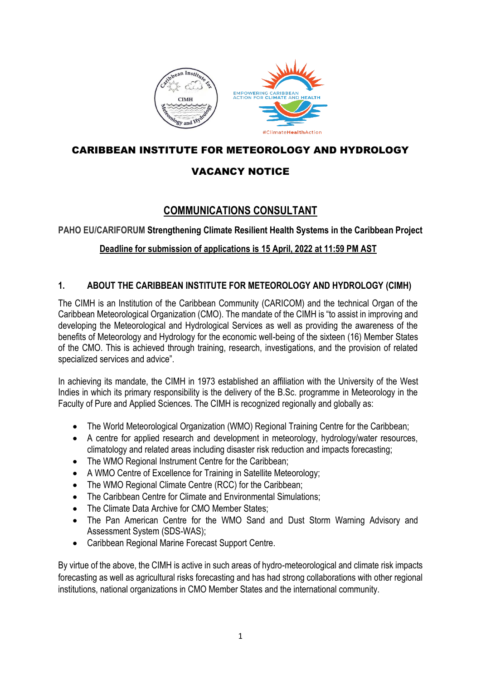

## CARIBBEAN INSTITUTE FOR METEOROLOGY AND HYDROLOGY

# VACANCY NOTICE

# **COMMUNICATIONS CONSULTANT**

**PAHO EU/CARIFORUM Strengthening Climate Resilient Health Systems in the Caribbean Project**

## **Deadline for submission of applications is 15 April, 2022 at 11:59 PM AST**

### **1. ABOUT THE CARIBBEAN INSTITUTE FOR METEOROLOGY AND HYDROLOGY (CIMH)**

The CIMH is an Institution of the Caribbean Community (CARICOM) and the technical Organ of the Caribbean Meteorological Organization (CMO). The mandate of the CIMH is "to assist in improving and developing the Meteorological and Hydrological Services as well as providing the awareness of the benefits of Meteorology and Hydrology for the economic well-being of the sixteen (16) Member States of the CMO. This is achieved through training, research, investigations, and the provision of related specialized services and advice".

In achieving its mandate, the CIMH in 1973 established an affiliation with the University of the West Indies in which its primary responsibility is the delivery of the B.Sc. programme in Meteorology in the Faculty of Pure and Applied Sciences. The CIMH is recognized regionally and globally as:

- The World Meteorological Organization (WMO) Regional Training Centre for the Caribbean;
- A centre for applied research and development in meteorology, hydrology/water resources, climatology and related areas including disaster risk reduction and impacts forecasting;
- The WMO Regional Instrument Centre for the Caribbean;
- A WMO Centre of Excellence for Training in Satellite Meteorology;
- The WMO Regional Climate Centre (RCC) for the Caribbean;
- The Caribbean Centre for Climate and Environmental Simulations:
- The Climate Data Archive for CMO Member States:
- The Pan American Centre for the WMO Sand and Dust Storm Warning Advisory and Assessment System (SDS-WAS);
- Caribbean Regional Marine Forecast Support Centre.

By virtue of the above, the CIMH is active in such areas of hydro-meteorological and climate risk impacts forecasting as well as agricultural risks forecasting and has had strong collaborations with other regional institutions, national organizations in CMO Member States and the international community.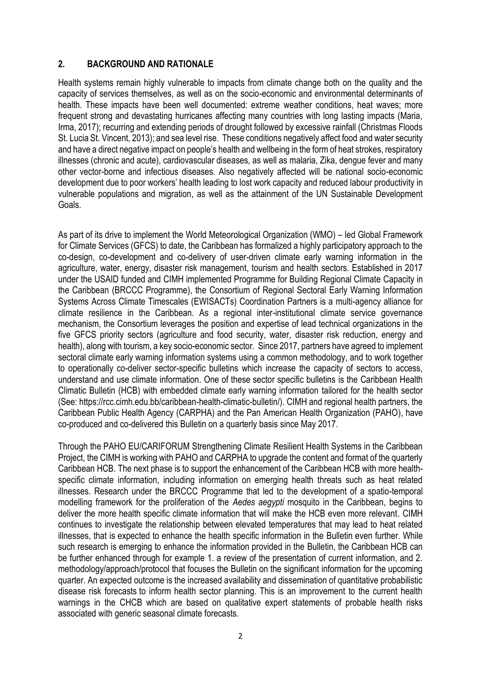#### **2. BACKGROUND AND RATIONALE**

Health systems remain highly vulnerable to impacts from climate change both on the quality and the capacity of services themselves, as well as on the socio-economic and environmental determinants of health. These impacts have been well documented: extreme weather conditions, heat waves; more frequent strong and devastating hurricanes affecting many countries with long lasting impacts (Maria, Irma, 2017); recurring and extending periods of drought followed by excessive rainfall (Christmas Floods St. Lucia St. Vincent, 2013); and sea level rise. These conditions negatively affect food and water security and have a direct negative impact on people's health and wellbeing in the form of heat strokes, respiratory illnesses (chronic and acute), cardiovascular diseases, as well as malaria, Zika, dengue fever and many other vector-borne and infectious diseases. Also negatively affected will be national socio-economic development due to poor workers' health leading to lost work capacity and reduced labour productivity in vulnerable populations and migration, as well as the attainment of the UN Sustainable Development Goals.

As part of its drive to implement the World Meteorological Organization (WMO) – led Global Framework for Climate Services (GFCS) to date, the Caribbean has formalized a highly participatory approach to the co-design, co-development and co-delivery of user-driven climate early warning information in the agriculture, water, energy, disaster risk management, tourism and health sectors. Established in 2017 under the USAID funded and CIMH implemented Programme for Building Regional Climate Capacity in the Caribbean (BRCCC Programme), the Consortium of Regional Sectoral Early Warning Information Systems Across Climate Timescales (EWISACTs) Coordination Partners is a multi-agency alliance for climate resilience in the Caribbean. As a regional inter-institutional climate service governance mechanism, the Consortium leverages the position and expertise of lead technical organizations in the five GFCS priority sectors (agriculture and food security, water, disaster risk reduction, energy and health), along with tourism, a key socio-economic sector. Since 2017, partners have agreed to implement sectoral climate early warning information systems using a common methodology, and to work together to operationally co-deliver sector-specific bulletins which increase the capacity of sectors to access, understand and use climate information. One of these sector specific bulletins is the Caribbean Health Climatic Bulletin (HCB) with embedded climate early warning information tailored for the health sector (See: https://rcc.cimh.edu.bb/caribbean-health-climatic-bulletin/). CIMH and regional health partners, the Caribbean Public Health Agency (CARPHA) and the Pan American Health Organization (PAHO), have co-produced and co-delivered this Bulletin on a quarterly basis since May 2017.

Through the PAHO EU/CARIFORUM Strengthening Climate Resilient Health Systems in the Caribbean Project, the CIMH is working with PAHO and CARPHA to upgrade the content and format of the quarterly Caribbean HCB. The next phase is to support the enhancement of the Caribbean HCB with more healthspecific climate information, including information on emerging health threats such as heat related illnesses. Research under the BRCCC Programme that led to the development of a spatio-temporal modelling framework for the proliferation of the *Aedes aegypti* mosquito in the Caribbean, begins to deliver the more health specific climate information that will make the HCB even more relevant. CIMH continues to investigate the relationship between elevated temperatures that may lead to heat related illnesses, that is expected to enhance the health specific information in the Bulletin even further. While such research is emerging to enhance the information provided in the Bulletin, the Caribbean HCB can be further enhanced through for example 1. a review of the presentation of current information, and 2. methodology/approach/protocol that focuses the Bulletin on the significant information for the upcoming quarter. An expected outcome is the increased availability and dissemination of quantitative probabilistic disease risk forecasts to inform health sector planning. This is an improvement to the current health warnings in the CHCB which are based on qualitative expert statements of probable health risks associated with generic seasonal climate forecasts.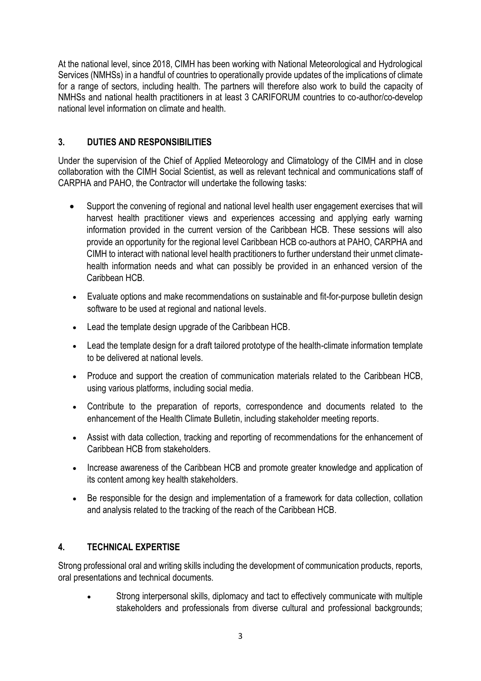At the national level, since 2018, CIMH has been working with National Meteorological and Hydrological Services (NMHSs) in a handful of countries to operationally provide updates of the implications of climate for a range of sectors, including health. The partners will therefore also work to build the capacity of NMHSs and national health practitioners in at least 3 CARIFORUM countries to co-author/co-develop national level information on climate and health.

## **3. DUTIES AND RESPONSIBILITIES**

Under the supervision of the Chief of Applied Meteorology and Climatology of the CIMH and in close collaboration with the CIMH Social Scientist, as well as relevant technical and communications staff of CARPHA and PAHO, the Contractor will undertake the following tasks:

- Support the convening of regional and national level health user engagement exercises that will harvest health practitioner views and experiences accessing and applying early warning information provided in the current version of the Caribbean HCB. These sessions will also provide an opportunity for the regional level Caribbean HCB co-authors at PAHO, CARPHA and CIMH to interact with national level health practitioners to further understand their unmet climatehealth information needs and what can possibly be provided in an enhanced version of the Caribbean HCB.
- Evaluate options and make recommendations on sustainable and fit-for-purpose bulletin design software to be used at regional and national levels.
- Lead the template design upgrade of the Caribbean HCB.
- Lead the template design for a draft tailored prototype of the health-climate information template to be delivered at national levels.
- Produce and support the creation of communication materials related to the Caribbean HCB, using various platforms, including social media.
- Contribute to the preparation of reports, correspondence and documents related to the enhancement of the Health Climate Bulletin, including stakeholder meeting reports.
- Assist with data collection, tracking and reporting of recommendations for the enhancement of Caribbean HCB from stakeholders.
- Increase awareness of the Caribbean HCB and promote greater knowledge and application of its content among key health stakeholders.
- Be responsible for the design and implementation of a framework for data collection, collation and analysis related to the tracking of the reach of the Caribbean HCB.

### **4. TECHNICAL EXPERTISE**

Strong professional oral and writing skills including the development of communication products, reports, oral presentations and technical documents.

• Strong interpersonal skills, diplomacy and tact to effectively communicate with multiple stakeholders and professionals from diverse cultural and professional backgrounds;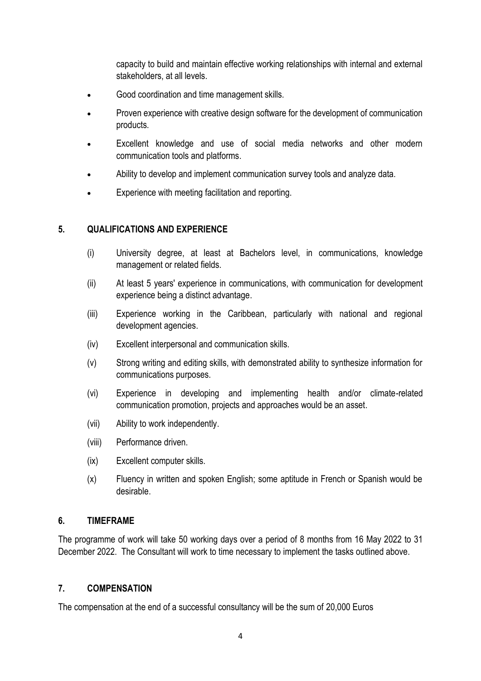capacity to build and maintain effective working relationships with internal and external stakeholders, at all levels.

- Good coordination and time management skills.
- Proven experience with creative design software for the development of communication products.
- Excellent knowledge and use of social media networks and other modern communication tools and platforms.
- Ability to develop and implement communication survey tools and analyze data.
- Experience with meeting facilitation and reporting.

#### **5. QUALIFICATIONS AND EXPERIENCE**

- (i) University degree, at least at Bachelors level, in communications, knowledge management or related fields.
- (ii) At least 5 years' experience in communications, with communication for development experience being a distinct advantage.
- (iii) Experience working in the Caribbean, particularly with national and regional development agencies.
- (iv) Excellent interpersonal and communication skills.
- (v) Strong writing and editing skills, with demonstrated ability to synthesize information for communications purposes.
- (vi) Experience in developing and implementing health and/or climate-related communication promotion, projects and approaches would be an asset.
- (vii) Ability to work independently.
- (viii) Performance driven.
- (ix) Excellent computer skills.
- (x) Fluency in written and spoken English; some aptitude in French or Spanish would be desirable.

#### **6. TIMEFRAME**

The programme of work will take 50 working days over a period of 8 months from 16 May 2022 to 31 December 2022. The Consultant will work to time necessary to implement the tasks outlined above.

#### **7. COMPENSATION**

The compensation at the end of a successful consultancy will be the sum of 20,000 Euros